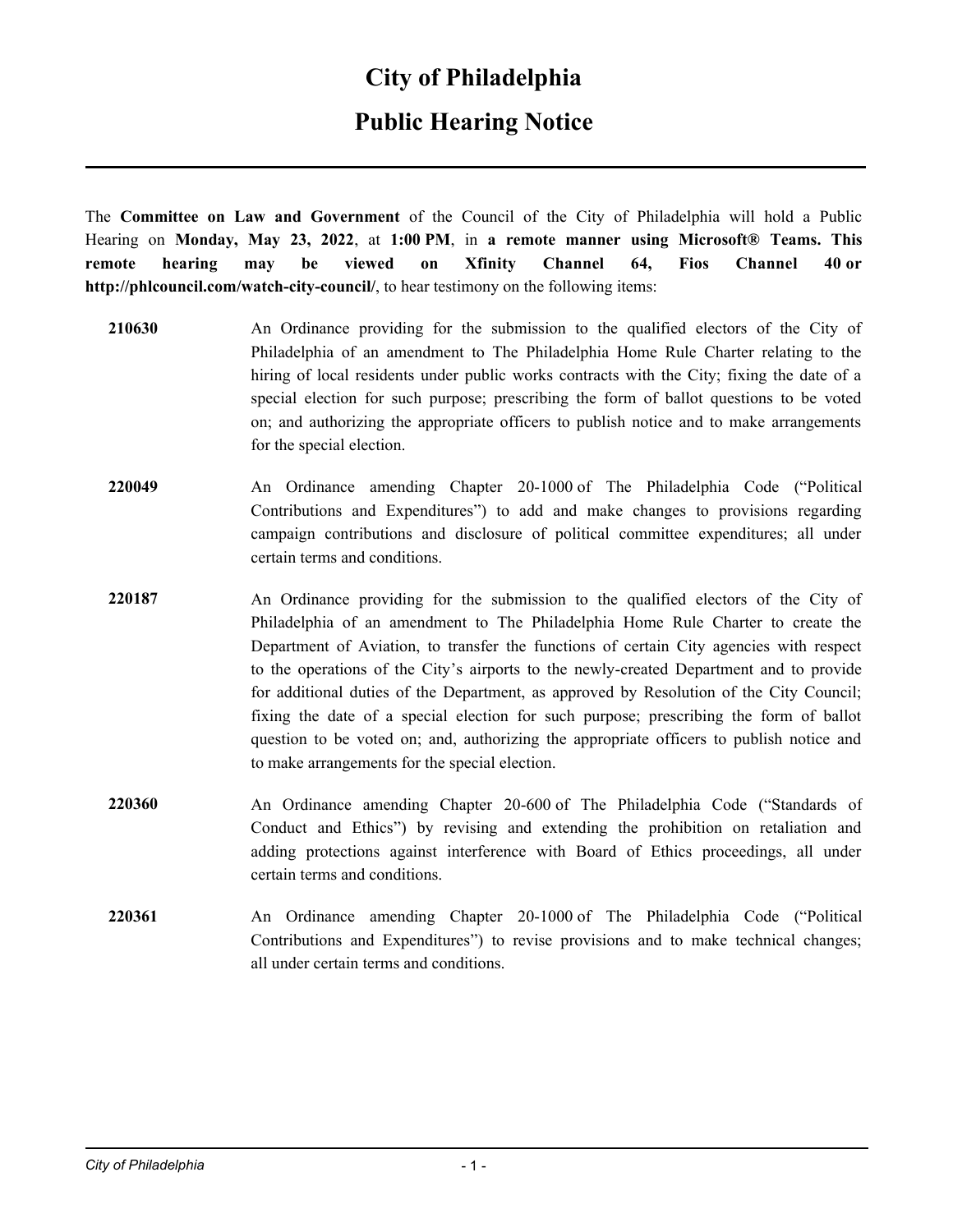## **City of Philadelphia**

## **Public Hearing Notice**

The **Committee on Law and Government** of the Council of the City of Philadelphia will hold a Public Hearing on **Monday, May 23, 2022**, at **1:00 PM**, in **a remote manner using Microsoft® Teams. This remote hearing may be viewed on Xfinity Channel 64, Fios Channel 40 or http://phlcouncil.com/watch-city-council/**, to hear testimony on the following items:

- **210630** An Ordinance providing for the submission to the qualified electors of the City of Philadelphia of an amendment to The Philadelphia Home Rule Charter relating to the hiring of local residents under public works contracts with the City; fixing the date of a special election for such purpose; prescribing the form of ballot questions to be voted on; and authorizing the appropriate officers to publish notice and to make arrangements for the special election.
- **220049** An Ordinance amending Chapter 20-1000 of The Philadelphia Code ("Political Contributions and Expenditures") to add and make changes to provisions regarding campaign contributions and disclosure of political committee expenditures; all under certain terms and conditions.
- **220187** An Ordinance providing for the submission to the qualified electors of the City of Philadelphia of an amendment to The Philadelphia Home Rule Charter to create the Department of Aviation, to transfer the functions of certain City agencies with respect to the operations of the City's airports to the newly-created Department and to provide for additional duties of the Department, as approved by Resolution of the City Council; fixing the date of a special election for such purpose; prescribing the form of ballot question to be voted on; and, authorizing the appropriate officers to publish notice and to make arrangements for the special election.
- **220360** An Ordinance amending Chapter 20-600 of The Philadelphia Code ("Standards of Conduct and Ethics") by revising and extending the prohibition on retaliation and adding protections against interference with Board of Ethics proceedings, all under certain terms and conditions.
- **220361** An Ordinance amending Chapter 20-1000 of The Philadelphia Code ("Political Contributions and Expenditures") to revise provisions and to make technical changes; all under certain terms and conditions.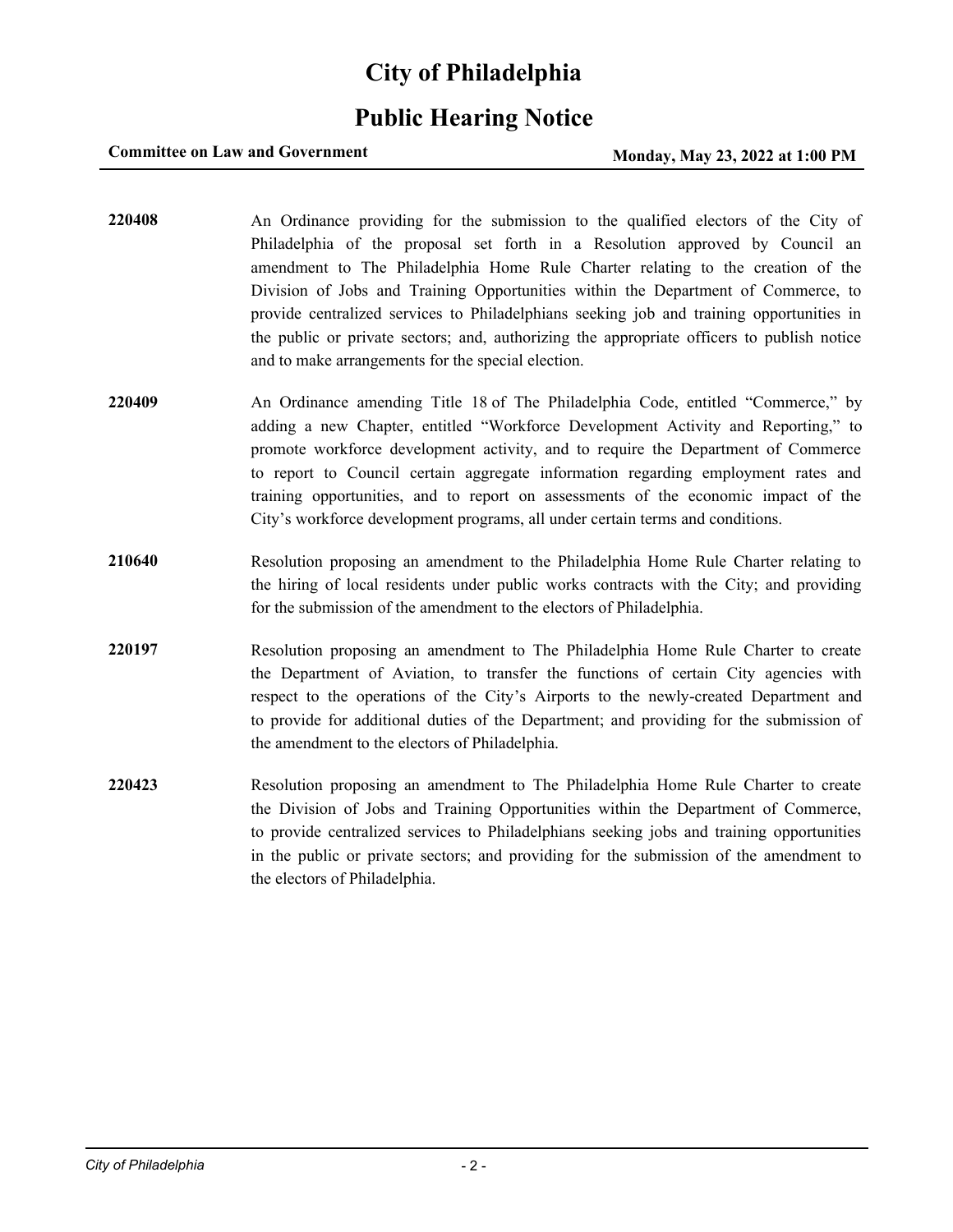## **City of Philadelphia**

## **Public Hearing Notice**

### **Committee on Law and Government Monday, May 23, 2022 at 1:00 PM**

**220408** An Ordinance providing for the submission to the qualified electors of the City of Philadelphia of the proposal set forth in a Resolution approved by Council an amendment to The Philadelphia Home Rule Charter relating to the creation of the Division of Jobs and Training Opportunities within the Department of Commerce, to provide centralized services to Philadelphians seeking job and training opportunities in the public or private sectors; and, authorizing the appropriate officers to publish notice and to make arrangements for the special election.

- **220409** An Ordinance amending Title 18 of The Philadelphia Code, entitled "Commerce," by adding a new Chapter, entitled "Workforce Development Activity and Reporting," to promote workforce development activity, and to require the Department of Commerce to report to Council certain aggregate information regarding employment rates and training opportunities, and to report on assessments of the economic impact of the City's workforce development programs, all under certain terms and conditions.
- **210640** Resolution proposing an amendment to the Philadelphia Home Rule Charter relating to the hiring of local residents under public works contracts with the City; and providing for the submission of the amendment to the electors of Philadelphia.
- **220197** Resolution proposing an amendment to The Philadelphia Home Rule Charter to create the Department of Aviation, to transfer the functions of certain City agencies with respect to the operations of the City's Airports to the newly-created Department and to provide for additional duties of the Department; and providing for the submission of the amendment to the electors of Philadelphia.
- **220423** Resolution proposing an amendment to The Philadelphia Home Rule Charter to create the Division of Jobs and Training Opportunities within the Department of Commerce, to provide centralized services to Philadelphians seeking jobs and training opportunities in the public or private sectors; and providing for the submission of the amendment to the electors of Philadelphia.